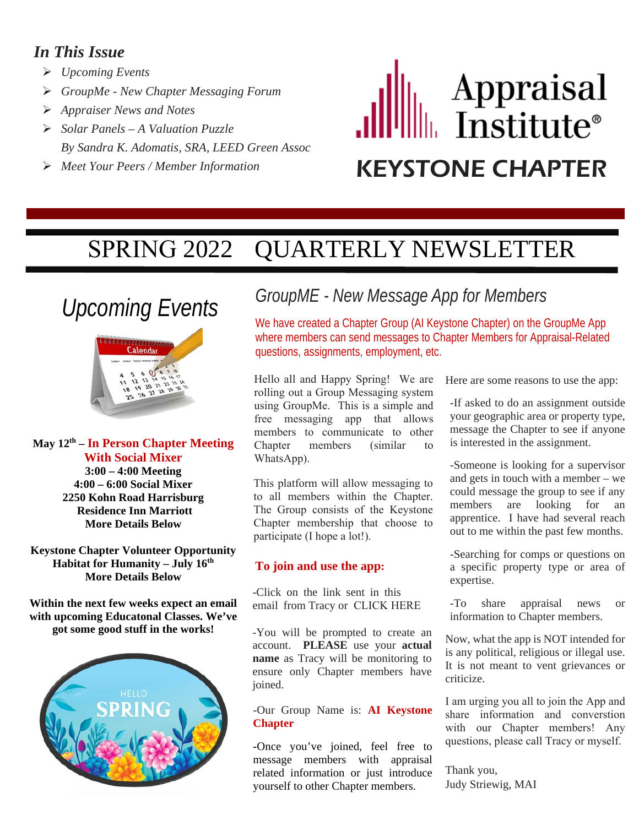#### *In This Issue*

- *Upcoming Events*
- *GroupMe New Chapter Messaging Forum*
- *Appraiser News and Notes*
- *Solar Panels A Valuation Puzzle By Sandra K. Adomatis, SRA, LEED Green Assoc*
- 

# Appraisal<br>Institute® *Meet Your Peers / Member Information* KEYSTONE CHAPTER

# SPRING 2022 QUARTERLY NEWSLETTER

## *Upcoming Events*



**May 12th – In Person Chapter Meeting With Social Mixer 3:00 – 4:00 Meeting 4:00 – 6:00 Social Mixer 2250 Kohn Road Harrisburg Residence Inn Marriott More Details Below** 

**Keystone Chapter Volunteer Opportunity Habitat for Humanity – July 16th More Details Below** 

**Within the next few weeks expect an email with upcoming Educatonal Classes. We've got some good stuff in the works!**



### *GroupME - New Message App for Members*

We have created a Chapter Group (AI Keystone Chapter) on the GroupMe App where members can send messages to Chapter Members for Appraisal-Related questions, assignments, employment, etc.

Hello all and Happy Spring! We are rolling out a Group Messaging system using GroupMe. This is a simple and free messaging app that allows members to communicate to other Chapter members (similar to WhatsApp).

This platform will allow messaging to to all members within the Chapter. The Group consists of the Keystone Chapter membership that choose to participate (I hope a lot!).

#### **To join and use the app:**

-Click on the link sent in this email from Tracy or [CLICK HERE](https://groupme.com/join_group/86136741/7QM3WfyL)

-You will be prompted to create an account. **PLEASE** use your **actual name** as Tracy will be monitoring to ensure only Chapter members have joined.

-Our Group Name is: **AI Keystone Chapter** 

**-**Once you've joined, feel free to message members with appraisal related information or just introduce yourself to other Chapter members.

Here are some reasons to use the app:

-If asked to do an assignment outside your geographic area or property type, message the Chapter to see if anyone is interested in the assignment.

-Someone is looking for a supervisor and gets in touch with a member – we could message the group to see if any members are looking for an apprentice. I have had several reach out to me within the past few months.

-Searching for comps or questions on a specific property type or area of expertise.

-To share appraisal news or information to Chapter members.

Now, what the app is NOT intended for is any political, religious or illegal use. It is not meant to vent grievances or criticize.

I am urging you all to join the App and share information and converstion with our Chapter members! Any questions, please call Tracy or myself.

Thank you, Judy Striewig, MAI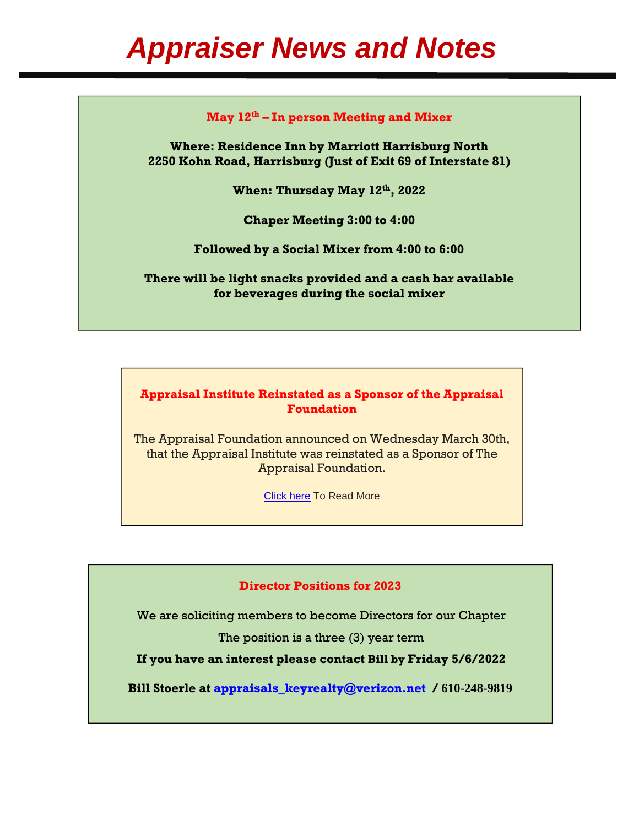#### **May 12th – In person Meeting and Mixer**

**Where: Residence Inn by Marriott Harrisburg North 2250 Kohn Road, Harrisburg (Just of Exit 69 of Interstate 81)** 

**When: Thursday May 12th, 2022** 

**Chaper Meeting 3:00 to 4:00** 

**Followed by a Social Mixer from 4:00 to 6:00** 

**There will be light snacks provided and a cash bar available for beverages during the social mixer**

**Appraisal Institute Reinstated as a Sponsor of the Appraisal Foundation** 

The Appraisal Foundation announced on Wednesday March 30th, that the Appraisal Institute was reinstated as a Sponsor of The Appraisal Foundation.

[Click here](https://www.appraisalinstitute.org/appraisal-institute-reinstated-as-sponsor-of-the-appraisal-foundation/) To Read More

#### **Director Positions for 2023**

We are soliciting members to become Directors for our Chapter

The position is a three (3) year term

**If you have an interest please contact Bill by Friday 5/6/2022**

**Bill Stoerle at appraisals\_keyrealty@verizon.net / 610-248-9819**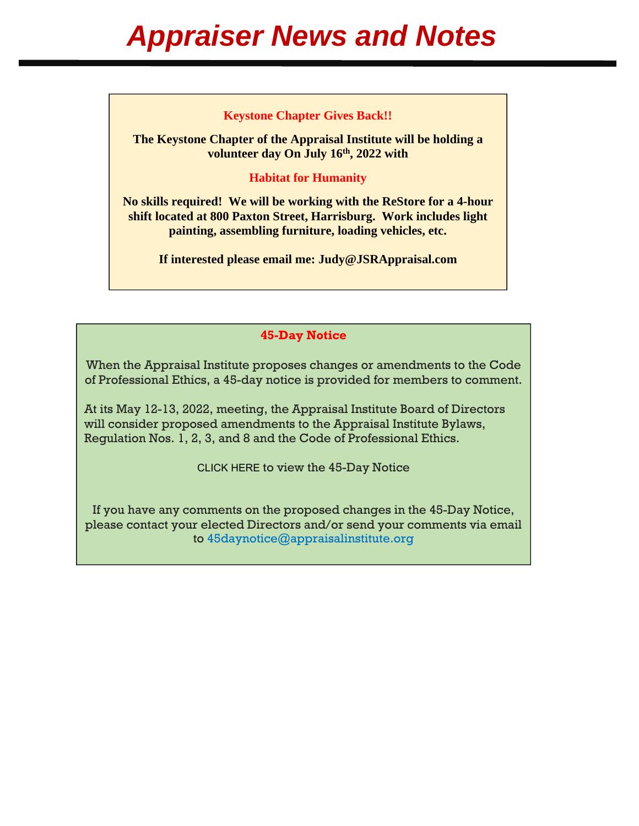#### **Keystone Chapter Gives Back!!**

**The Keystone Chapter of the Appraisal Institute will be holding a**  volunteer day On July 16<sup>th</sup>, 2022 with

#### **Habitat for Humanity**

**No skills required! We will be working with the ReStore for a 4-hour shift located at 800 Paxton Street, Harrisburg. Work includes light painting, assembling furniture, loading vehicles, etc.** 

**If interested please email me: Judy@JSRAppraisal.com** 

#### **45-Day Notice**

When the Appraisal Institute proposes changes or amendments to the Code of Professional Ethics, a 45-day notice is provided for members to comment.

At its May 12-13, 2022, meeting, the Appraisal Institute Board of Directors will consider proposed amendments to the Appraisal Institute Bylaws, Regulation Nos. 1, 2, 3, and 8 and the Code of Professional Ethics.

[CLICK HERE](https://images.magnetmail.net/images/clients/APPRAISAL//attach/45DayNotice2Q2022.pdf) to view the 45-Day Notice

If you have any comments on the proposed changes in the 45-Day Notice, please contact your elected Directors and/or send your comments via email to 45daynotice@appraisalinstitute.org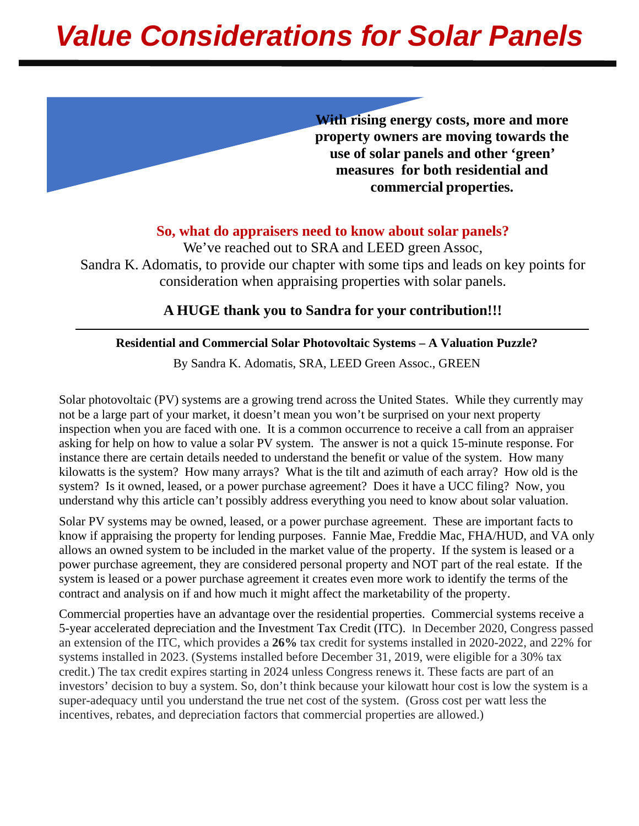# *Value Considerations for Solar Panels*

**With rising energy costs, more and more property owners are moving towards the use of solar panels and other 'green' measures for both residential and commercial properties.**

#### **So, what do appraisers need to know about solar panels?**

We've reached out to SRA and LEED green Assoc, Sandra K. Adomatis, to provide our chapter with some tips and leads on key points for consideration when appraising properties with solar panels.  $\overline{\phantom{a}}$ 

#### **A HUGE thank you to Sandra for your contribution!!!**

#### **Residential and Commercial Solar Photovoltaic Systems – A Valuation Puzzle?**

By Sandra K. Adomatis, SRA, LEED Green Assoc., GREEN

Solar photovoltaic (PV) systems are a growing trend across the United States. While they currently may not be a large part of your market, it doesn't mean you won't be surprised on your next property inspection when you are faced with one. It is a common occurrence to receive a call from an appraiser asking for help on how to value a solar PV system. The answer is not a quick 15-minute response. For instance there are certain details needed to understand the benefit or value of the system. How many kilowatts is the system? How many arrays? What is the tilt and azimuth of each array? How old is the system? Is it owned, leased, or a power purchase agreement? Does it have a UCC filing? Now, you understand why this article can't possibly address everything you need to know about solar valuation.

Solar PV systems may be owned, leased, or a power purchase agreement. These are important facts to know if appraising the property for lending purposes. Fannie Mae, Freddie Mac, FHA/HUD, and VA only allows an owned system to be included in the market value of the property. If the system is leased or a power purchase agreement, they are considered personal property and NOT part of the real estate. If the system is leased or a power purchase agreement it creates even more work to identify the terms of the contract and analysis on if and how much it might affect the marketability of the property.

Commercial properties have an advantage over the residential properties. Commercial systems receive a 5-year accelerated depreciation and the Investment Tax Credit (ITC). In December 2020, Congress passed an extension of the ITC, which provides a **26%** tax credit for systems installed in 2020-2022, and 22% for systems installed in 2023. (Systems installed before December 31, 2019, were eligible for a 30% tax credit.) The tax credit expires starting in 2024 unless Congress renews it. These facts are part of an investors' decision to buy a system. So, don't think because your kilowatt hour cost is low the system is a super-adequacy until you understand the true net cost of the system. (Gross cost per watt less the incentives, rebates, and depreciation factors that commercial properties are allowed.)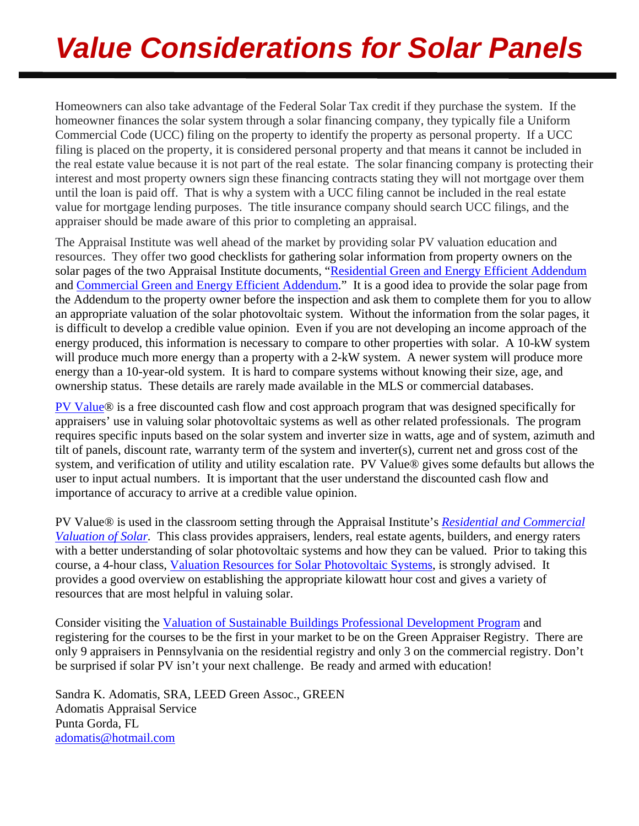# *Value Considerations for Solar Panels*

Homeowners can also take advantage of the Federal Solar Tax credit if they purchase the system. If the homeowner finances the solar system through a solar financing company, they typically file a Uniform Commercial Code (UCC) filing on the property to identify the property as personal property. If a UCC filing is placed on the property, it is considered personal property and that means it cannot be included in the real estate value because it is not part of the real estate. The solar financing company is protecting their interest and most property owners sign these financing contracts stating they will not mortgage over them until the loan is paid off. That is why a system with a UCC filing cannot be included in the real estate value for mortgage lending purposes. The title insurance company should search UCC filings, and the appraiser should be made aware of this prior to completing an appraisal.

The Appraisal Institute was well ahead of the market by providing solar PV valuation education and resources. They offer two good checklists for gathering solar information from property owners on the solar pages of the two Appraisal Institute documents, "Residential Green and Energy Efficient Addendum and Commercial Green and Energy Efficient Addendum." It is a good idea to provide the solar page from the Addendum to the property owner before the inspection and ask them to complete them for you to allow an appropriate valuation of the solar photovoltaic system. Without the information from the solar pages, it is difficult to develop a credible value opinion. Even if you are not developing an income approach of the energy produced, this information is necessary to compare to other properties with solar. A 10-kW system will produce much more energy than a property with a 2-kW system. A newer system will produce more energy than a 10-year-old system. It is hard to compare systems without knowing their size, age, and ownership status. These details are rarely made available in the MLS or commercial databases.

PV Value® is a free discounted cash flow and cost approach program that was designed specifically for appraisers' use in valuing solar photovoltaic systems as well as other related professionals. The program requires specific inputs based on the solar system and inverter size in watts, age and of system, azimuth and tilt of panels, discount rate, warranty term of the system and inverter(s), current net and gross cost of the system, and verification of utility and utility escalation rate. PV Value® gives some defaults but allows the user to input actual numbers. It is important that the user understand the discounted cash flow and importance of accuracy to arrive at a credible value opinion.

PV Value® is used in the classroom setting through the Appraisal Institute's *Residential and Commercial Valuation of Solar.* This class provides appraisers, lenders, real estate agents, builders, and energy raters with a better understanding of solar photovoltaic systems and how they can be valued. Prior to taking this course, a 4-hour class, Valuation Resources for Solar Photovoltaic Systems, is strongly advised. It provides a good overview on establishing the appropriate kilowatt hour cost and gives a variety of resources that are most helpful in valuing solar.

Consider visiting the Valuation of Sustainable Buildings Professional Development Program and registering for the courses to be the first in your market to be on the Green Appraiser Registry. There are only 9 appraisers in Pennsylvania on the residential registry and only 3 on the commercial registry. Don't be surprised if solar PV isn't your next challenge. Be ready and armed with education!

Sandra K. Adomatis, SRA, LEED Green Assoc., GREEN Adomatis Appraisal Service Punta Gorda, FL adomatis@hotmail.com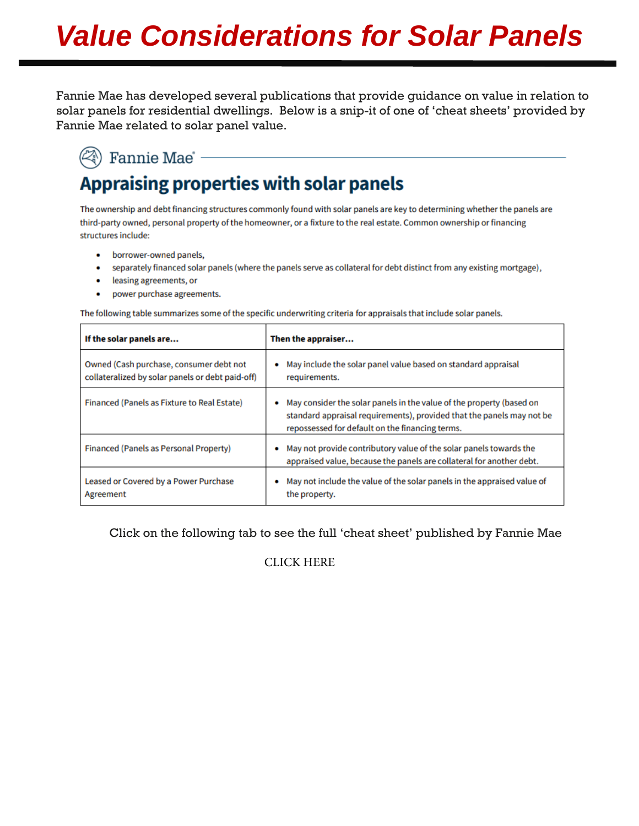# *Value Considerations for Solar Panels*

Fannie Mae has developed several publications that provide guidance on value in relation to solar panels for residential dwellings. Below is a snip-it of one of 'cheat sheets' provided by Fannie Mae related to solar panel value.

### $(\widehat{\ll})$  Fannie Mae  $\cdot$ **Appraising properties with solar panels**

The ownership and debt financing structures commonly found with solar panels are key to determining whether the panels are third-party owned, personal property of the homeowner, or a fixture to the real estate. Common ownership or financing structures include:

- borrower-owned panels,  $\bullet$
- separately financed solar panels (where the panels serve as collateral for debt distinct from any existing mortgage),
- leasing agreements, or
- power purchase agreements.  $\bullet$

The following table summarizes some of the specific underwriting criteria for appraisals that include solar panels.

| If the solar panels are                                                                     | Then the appraiser                                                                                                                                                                                    |
|---------------------------------------------------------------------------------------------|-------------------------------------------------------------------------------------------------------------------------------------------------------------------------------------------------------|
| Owned (Cash purchase, consumer debt not<br>collateralized by solar panels or debt paid-off) | May include the solar panel value based on standard appraisal<br>۰<br>requirements.                                                                                                                   |
| Financed (Panels as Fixture to Real Estate)                                                 | May consider the solar panels in the value of the property (based on<br>۰<br>standard appraisal requirements), provided that the panels may not be<br>repossessed for default on the financing terms. |
| Financed (Panels as Personal Property)                                                      | May not provide contributory value of the solar panels towards the<br>appraised value, because the panels are collateral for another debt.                                                            |
| Leased or Covered by a Power Purchase<br>Agreement                                          | May not include the value of the solar panels in the appraised value of<br>۰<br>the property.                                                                                                         |

Click on the following tab to see the full 'cheat sheet' published by Fannie Mae

#### [CLICK HERE](https://singlefamily.fanniemae.com/media/23651/display)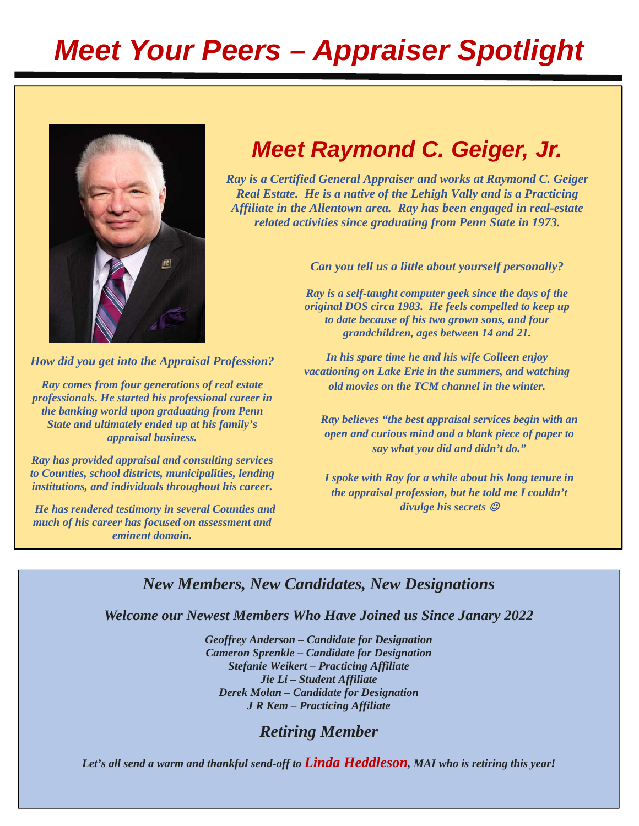# *Meet Your Peers – Appraiser Spotlight*



## *Meet Raymond C. Geiger, Jr.*

*Ray is a Certified General Appraiser and works at Raymond C. Geiger Real Estate. He is a native of the Lehigh Vally and is a Practicing Affiliate in the Allentown area. Ray has been engaged in real-estate related activities since graduating from Penn State in 1973.* 

*Can you tell us a little about yourself personally?* 

*Ray is a self-taught computer geek since the days of the original DOS circa 1983. He feels compelled to keep up to date because of his two grown sons, and four grandchildren, ages between 14 and 21.* 

*How did you get into the Appraisal Profession?*

*Ray comes from four generations of real estate professionals. He started his professional career in the banking world upon graduating from Penn State and ultimately ended up at his family's appraisal business.* 

*Ray has provided appraisal and consulting services to Counties, school districts, municipalities, lending institutions, and individuals throughout his career.* 

 *He has rendered testimony in several Counties and much of his career has focused on assessment and eminent domain.* 

*In his spare time he and his wife Colleen enjoy vacationing on Lake Erie in the summers, and watching old movies on the TCM channel in the winter.* 

*Ray believes "the best appraisal services begin with an open and curious mind and a blank piece of paper to say what you did and didn't do."* 

*I spoke with Ray for a while about his long tenure in the appraisal profession, but he told me I couldn't divulge his secrets* 

#### *New Members, New Candidates, New Designations*

*Welcome our Newest Members Who Have Joined us Since Janary 2022* 

*Geoffrey Anderson – Candidate for Designation Cameron Sprenkle – Candidate for Designation Stefanie Weikert – Practicing Affiliate Jie Li – Student Affiliate Derek Molan – Candidate for Designation J R Kem – Practicing Affiliate* 

#### *Retiring Member*

*Let's all send a warm and thankful send-off to Linda Heddleson, MAI who is retiring this year!*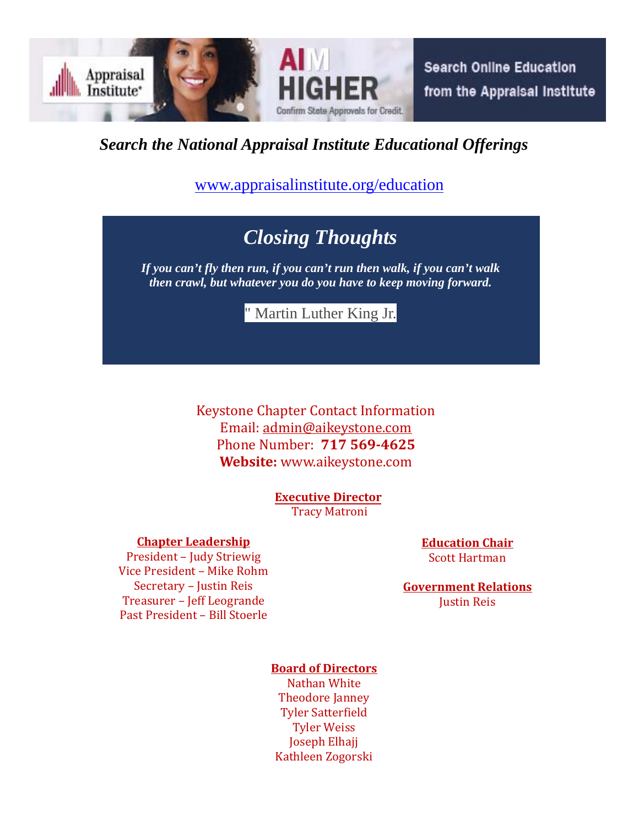

*Search the National Appraisal Institute Educational Offerings* 

www.appraisalinstitute.org/education

## *Closing Thoughts*

*If you can't fly then run, if you can't run then walk, if you can't walk then crawl, but whatever you do you have to keep moving forward.* 

" Martin Luther King Jr.

Keystone Chapter Contact Information Email: admin@aikeystone.com Phone Number: **717 569‐4625 Website:** www.aikeystone.com 

> **Executive Director** Tracy Matroni

#### **Chapter Leadership**

*ask the experts >>>*  President – Judy Striewig Vice President - Mike Rohm Secretary - Justin Reis Treasurer - Jeff Leogrande Past President - Bill Stoerle

**Education Chair** Scott Hartman

**Government Relations** Justin Reis

#### **Board of Directors**

Nathan White Theodore Janney **Tyler Satterfield Tyler Weiss** Joseph Elhajj Kathleen Zogorski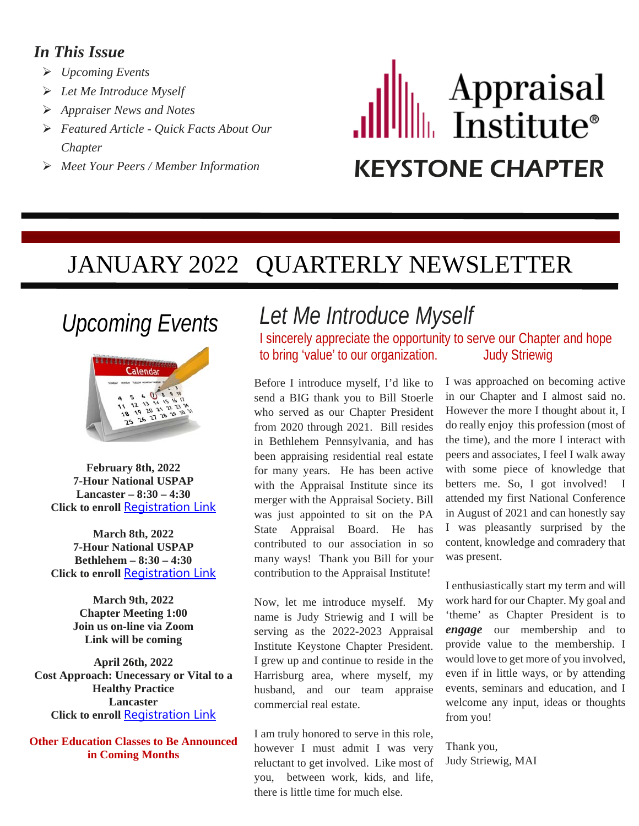#### *In This Issue*

- *Upcoming Events*
- *Let Me Introduce Myself*
- *Appraiser News and Notes*
- *Featured Article Quick Facts About Our Chapter*
- 

# Appraisal<br>Institute® *Meet Your Peers / Member Information* KEYSTONE CHAPTER

## JANUARY 2022 QUARTERLY NEWSLETTER

## *Upcoming Events*



**February 8th, 2022 7-Hour National USPAP Lancaster – 8:30 – 4:30 Click to enroll [Registration Link](https://ai.appraisalinstitute.org/eweb/DynamicPage.aspx?webcode=EventInfo&Reg_evt_key=10A0DABB-13E8-43EE-AE4C-E9D17D1FB731&goback=0)** 

**March 8th, 2022 7-Hour National USPAP Bethlehem – 8:30 – 4:30 Click to enroll [Registration Link](https://ai.appraisalinstitute.org/eweb/DynamicPage.aspx?webcode=EventInfo&Reg_evt_key=2B82C1F8-C618-4C07-8E40-3CBA25C04E7E&goback=0)** 

> **March 9th, 2022 Chapter Meeting 1:00 Join us on-line via Zoom Link will be coming**

**April 26th, 2022 Cost Approach: Unecessary or Vital to a Healthy Practice Lancaster Click to enroll** [Registration Link](https://ai.appraisalinstitute.org/eweb/DynamicPage.aspx?webcode=EventInfo&Reg_evt_key=A61C6FE8-575C-4D3D-9423-8D018F168F1A&goback=0)

**Other Education Classes to Be Announced in Coming Months**

## *Let Me Introduce Myself*

I sincerely appreciate the opportunity to serve our Chapter and hope to bring 'value' to our organization. Judy Striewig

Before I introduce myself, I'd like to send a BIG thank you to Bill Stoerle who served as our Chapter President from 2020 through 2021. Bill resides in Bethlehem Pennsylvania, and has been appraising residential real estate for many years. He has been active with the Appraisal Institute since its merger with the Appraisal Society. Bill was just appointed to sit on the PA State Appraisal Board. He has contributed to our association in so many ways! Thank you Bill for your contribution to the Appraisal Institute!

Now, let me introduce myself. My name is Judy Striewig and I will be serving as the 2022-2023 Appraisal Institute Keystone Chapter President. I grew up and continue to reside in the Harrisburg area, where myself, my husband, and our team appraise commercial real estate.

I am truly honored to serve in this role, however I must admit I was very reluctant to get involved. Like most of you, between work, kids, and life, there is little time for much else.

I was approached on becoming active in our Chapter and I almost said no. However the more I thought about it, I do really enjoy this profession (most of the time), and the more I interact with peers and associates, I feel I walk away with some piece of knowledge that betters me. So, I got involved! I attended my first National Conference in August of 2021 and can honestly say I was pleasantly surprised by the content, knowledge and comradery that was present.

I enthusiastically start my term and will work hard for our Chapter. My goal and 'theme' as Chapter President is to *engage* our membership and to provide value to the membership. I would love to get more of you involved, even if in little ways, or by attending events, seminars and education, and I welcome any input, ideas or thoughts from you!

Thank you, Judy Striewig, MAI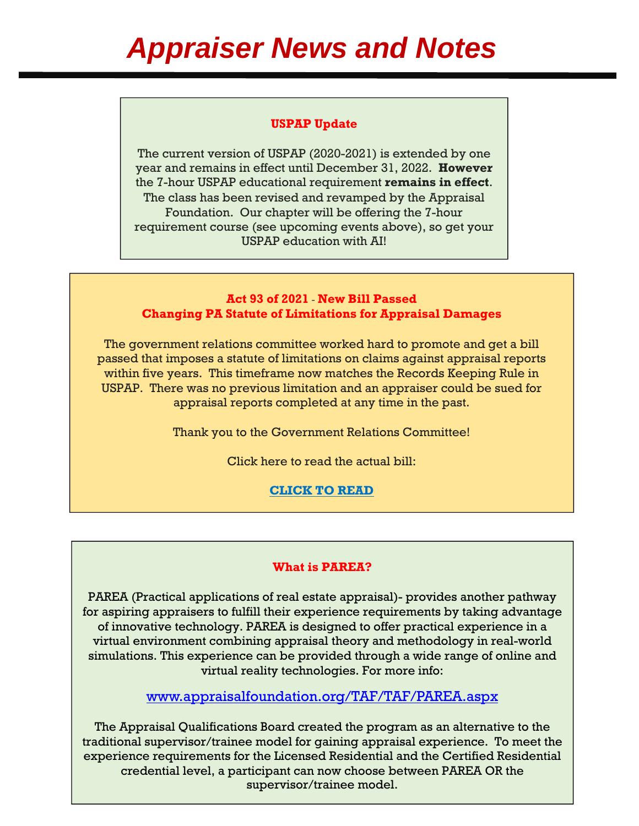#### **USPAP Update**

The current version of USPAP (2020-2021) is extended by one year and remains in effect until December 31, 2022. **However** the 7-hour USPAP educational requirement **remains in effect**. The class has been revised and revamped by the Appraisal Foundation. Our chapter will be offering the 7-hour requirement course (see upcoming events above), so get your USPAP education with AI!

#### **Act 93 of 2021** - **New Bill Passed Changing PA Statute of Limitations for Appraisal Damages**

The government relations committee worked hard to promote and get a bill passed that imposes a statute of limitations on claims against appraisal reports within five years. This timeframe now matches the Records Keeping Rule in USPAP. There was no previous limitation and an appraiser could be sued for appraisal reports completed at any time in the past.

Thank you to the Government Relations Committee!

Click here to read the actual bill:

**[CLICK TO READ](https://www.legis.state.pa.us/cfdocs/legis/li/uconsCheck.cfm?yr=2021&sessInd=0&act=93)** 

#### **What is PAREA?**

PAREA (Practical applications of real estate appraisal)- provides another pathway for aspiring appraisers to fulfill their experience requirements by taking advantage of innovative technology. PAREA is designed to offer practical experience in a virtual environment combining appraisal theory and methodology in real-world simulations. This experience can be provided through a wide range of online and virtual reality technologies. For more info:

<www.appraisalfoundation.org/TAF/TAF/PAREA.aspx>

The Appraisal Qualifications Board created the program as an alternative to the traditional supervisor/trainee model for gaining appraisal experience. To meet the experience requirements for the Licensed Residential and the Certified Residential credential level, a participant can now choose between PAREA OR the supervisor/trainee model.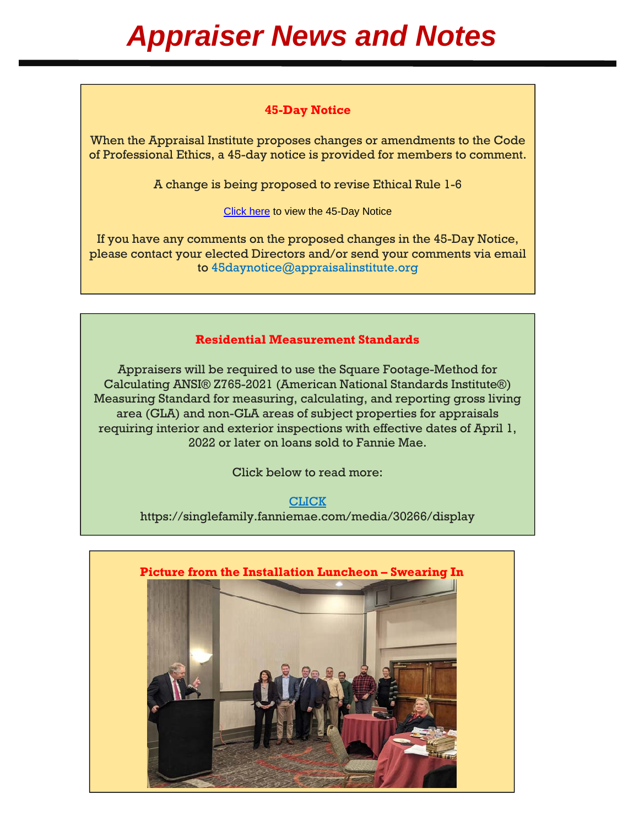#### **45-Day Notice**

When the Appraisal Institute proposes changes or amendments to the Code of Professional Ethics, a 45-day notice is provided for members to comment.

A change is being proposed to revise Ethical Rule 1-6

[Click here](https://images.magnetmail.net/images/clients/APPRAISAL//attach/45DayNotice1Q2022.pdf) to view the 45-Day Notice

If you have any comments on the proposed changes in the 45-Day Notice, please contact your elected Directors and/or send your comments via email to 45daynotice@appraisalinstitute.org

#### **Residential Measurement Standards**

Appraisers will be required to use the Square Footage-Method for Calculating ANSI® Z765-2021 (American National Standards Institute®) Measuring Standard for measuring, calculating, and reporting gross living area (GLA) and non-GLA areas of subject properties for appraisals requiring interior and exterior inspections with effective dates of April 1, 2022 or later on loans sold to Fannie Mae.

Click below to read more:

[CLICK](https://singlefamily.fanniemae.com/media/30266/display)  https://singlefamily.fanniemae.com/media/30266/display

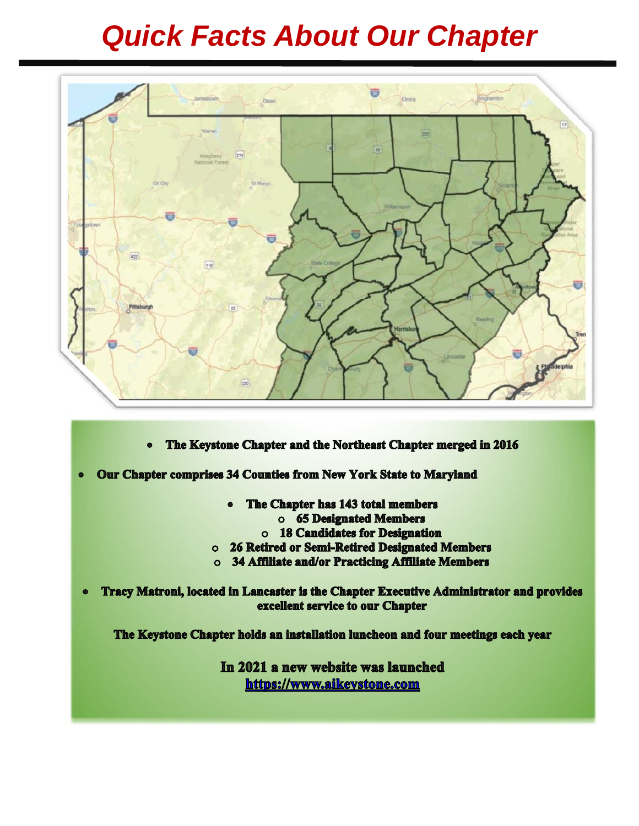# *Quick Facts About Our Chapter*



- The Keystone Chapter and the Northeast Chapter merged in 2016  $\bullet$
- Our Chapter comprises 34 Counties from New York State to Maryland  $\bullet$ 
	- The Chapter has 143 total members
		- o 65 Designated Members
		- o 18 Candidates for Designation
	- o 26 Retired or Semi-Retired Designated Members
	- o 34 Affiliate and/or Practicing Affiliate Members

Tracy Matroni, located in Lancaster is the Chapter Executive Administrator and provides  $\bullet$ excellent service to our Chapter

The Keystone Chapter holds an installation luncheon and four meetings each year

In 2021 a new website was launched https://www.aikeystone.com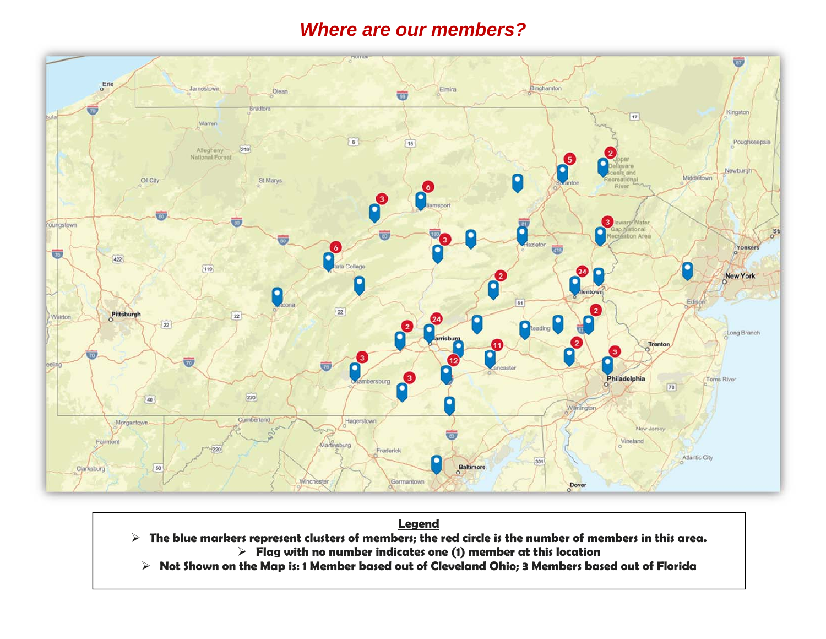#### *Where are our members?*



#### **Legend**

- $\triangleright$  The blue markers represent clusters of members; the red circle is the number of members in this area. **Flag with no number indicates one (1) member at this location** 
	- **Not Shown on the Map is: 1 Member based out of Cleveland Ohio; 3 Members based out of Florida**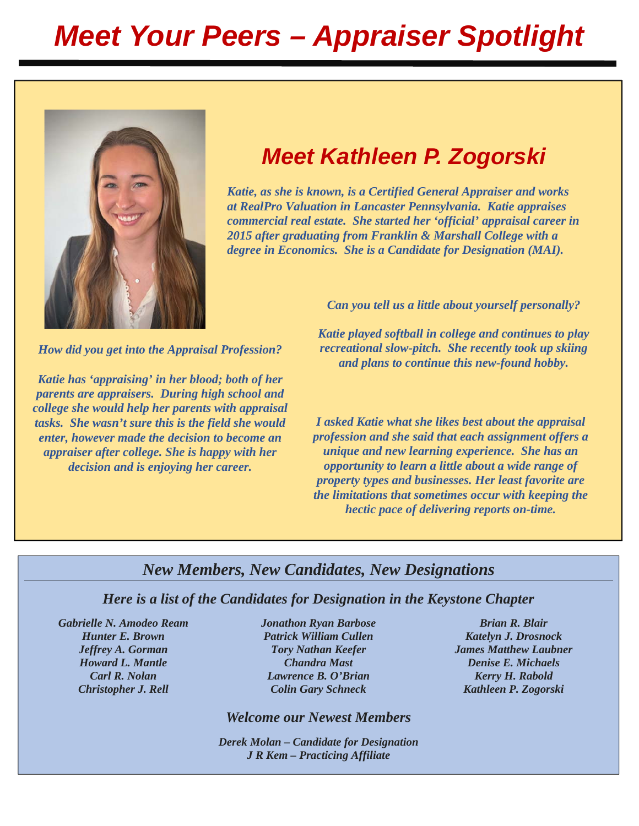# *Meet Your Peers – Appraiser Spotlight*



## *Meet Kathleen P. Zogorski*

*Katie, as she is known, is a Certified General Appraiser and works at RealPro Valuation in Lancaster Pennsylvania. Katie appraises commercial real estate. She started her 'official' appraisal career in 2015 after graduating from Franklin & Marshall College with a degree in Economics. She is a Candidate for Designation (MAI).* 

*How did you get into the Appraisal Profession?* 

*Katie has 'appraising' in her blood; both of her parents are appraisers. During high school and college she would help her parents with appraisal tasks. She wasn't sure this is the field she would enter, however made the decision to become an appraiser after college. She is happy with her decision and is enjoying her career.* 

*Can you tell us a little about yourself personally?* 

*Katie played softball in college and continues to play recreational slow-pitch. She recently took up skiing and plans to continue this new-found hobby.* 

*I asked Katie what she likes best about the appraisal profession and she said that each assignment offers a unique and new learning experience. She has an opportunity to learn a little about a wide range of property types and businesses. Her least favorite are the limitations that sometimes occur with keeping the hectic pace of delivering reports on-time.* 

#### *New Members, New Candidates, New Designations*

*Here is a list of the Candidates for Designation in the Keystone Chapter* 

*Gabrielle N. Amodeo Ream Jonathon Ryan Barbose Brian R. Blair* 

*Hunter E. Brown Patrick William Cullen <b>Katelyn J. Drosnock Cullen Ratelyn J. Drosnock Howard L. Mantle Chandra Mast Denise E. Michaels Carl R. Nolan Lawrence B. O'Brian Kerry H. Rabold*  **Christopher J. Rell Colin Gary Schneck Kathleen P. Zogorski** 

*Welcome our Newest Members* 

*Derek Molan – Candidate for Designation J R Kem – Practicing Affiliate* 

*Jeffrey A. Gorman* Tory *Nathan Keefer* James Matthew Laubner *James Matthew Laubner*